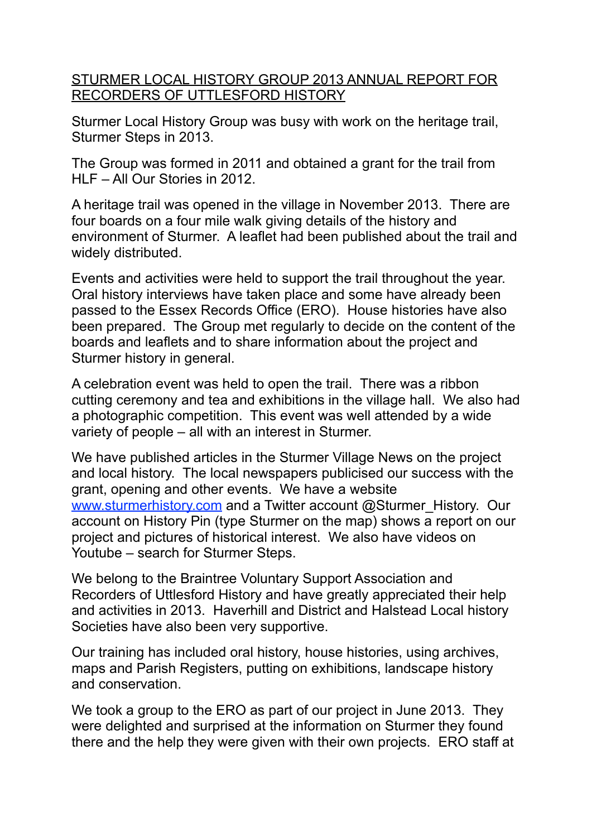STURMER LOCAL HISTORY GROUP 2013 ANNUAL REPORT FOR RECORDERS OF UTTLESFORD HISTORY

Sturmer Local History Group was busy with work on the heritage trail, Sturmer Steps in 2013.

The Group was formed in 2011 and obtained a grant for the trail from HLF – All Our Stories in 2012.

A heritage trail was opened in the village in November 2013. There are four boards on a four mile walk giving details of the history and environment of Sturmer. A leaflet had been published about the trail and widely distributed.

Events and activities were held to support the trail throughout the year. Oral history interviews have taken place and some have already been passed to the Essex Records Office (ERO). House histories have also been prepared. The Group met regularly to decide on the content of the boards and leaflets and to share information about the project and Sturmer history in general.

A celebration event was held to open the trail. There was a ribbon cutting ceremony and tea and exhibitions in the village hall. We also had a photographic competition. This event was well attended by a wide variety of people – all with an interest in Sturmer.

We have published articles in the Sturmer Village News on the project and local history. The local newspapers publicised our success with the grant, opening and other events. We have a website [www.sturmerhistory.com](http://www.sturmerhistory.com) and a Twitter account @Sturmer\_History. Our account on History Pin (type Sturmer on the map) shows a report on our project and pictures of historical interest. We also have videos on Youtube – search for Sturmer Steps.

We belong to the Braintree Voluntary Support Association and Recorders of Uttlesford History and have greatly appreciated their help and activities in 2013. Haverhill and District and Halstead Local history Societies have also been very supportive.

Our training has included oral history, house histories, using archives, maps and Parish Registers, putting on exhibitions, landscape history and conservation.

We took a group to the ERO as part of our project in June 2013. They were delighted and surprised at the information on Sturmer they found there and the help they were given with their own projects. ERO staff at